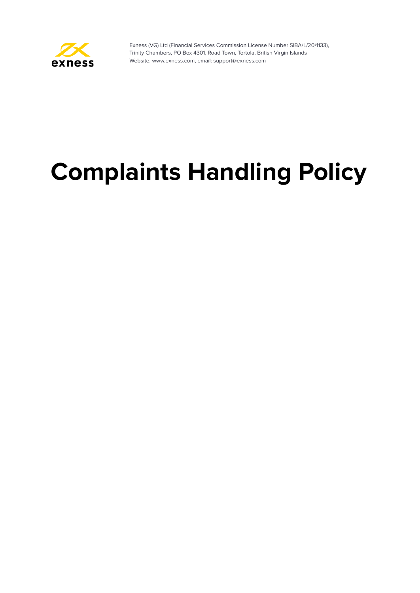

# **Complaints Handling Policy**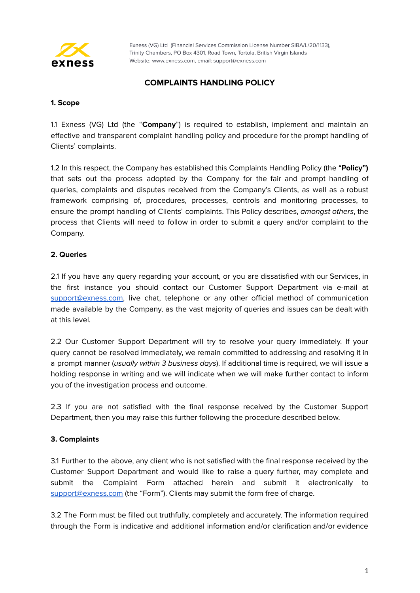

## **COMPLAINTS HANDLING POLICY**

#### **1. Scope**

1.1 Exness (VG) Ltd (the "**Company**") is required to establish, implement and maintain an effective and transparent complaint handling policy and procedure for the prompt handling of Clients' complaints.

1.2 In this respect, the Company has established this Complaints Handling Policy (the "**Policy")** that sets out the process adopted by the Company for the fair and prompt handling of queries, complaints and disputes received from the Company's Clients, as well as a robust framework comprising of, procedures, processes, controls and monitoring processes, to ensure the prompt handling of Clients' complaints. This Policy describes, amongst others, the process that Clients will need to follow in order to submit a query and/or complaint to the Company.

## **2. Queries**

2.1 If you have any query regarding your account, or you are dissatisfied with our Services, in the first instance you should contact our Customer Support Department via e-mail at [support@exness.com,](mailto:support@exness.com) live chat, telephone or any other official method of communication made available by the Company, as the vast majority of queries and issues can be dealt with at this level.

2.2 Our Customer Support Department will try to resolve your query immediately. If your query cannot be resolved immediately, we remain committed to addressing and resolving it in a prompt manner (usually within 3 business days). If additional time is required, we will issue a holding response in writing and we will indicate when we will make further contact to inform you of the investigation process and outcome.

2.3 If you are not satisfied with the final response received by the Customer Support Department, then you may raise this further following the procedure described below.

## **3. Complaints**

3.1 Further to the above, any client who is not satisfied with the final response received by the Customer Support Department and would like to raise a query further, may complete and submit the Complaint Form attached herein and submit it electronically to [support@exness.com](mailto:support@exness.com) (the "Form"). Clients may submit the form free of charge.

3.2 The Form must be filled out truthfully, completely and accurately. The information required through the Form is indicative and additional information and/or clarification and/or evidence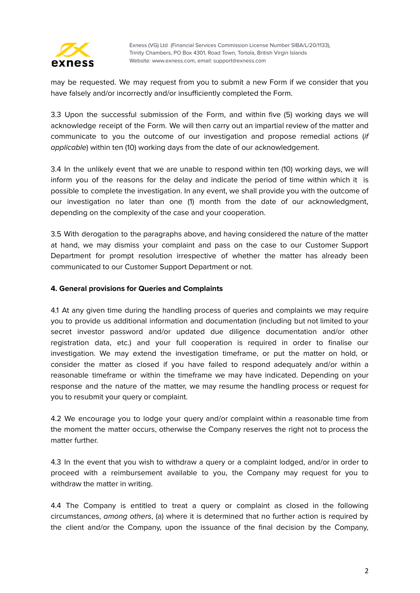

may be requested. We may request from you to submit a new Form if we consider that you have falsely and/or incorrectly and/or insufficiently completed the Form.

3.3 Upon the successful submission of the Form, and within five (5) working days we will acknowledge receipt of the Form. We will then carry out an impartial review of the matter and communicate to you the outcome of our investigation and propose remedial actions (if applicable) within ten (10) working days from the date of our acknowledgement.

3.4 In the unlikely event that we are unable to respond within ten (10) working days, we will inform you of the reasons for the delay and indicate the period of time within which it is possible to complete the investigation. In any event, we shall provide you with the outcome of our investigation no later than one (1) month from the date of our acknowledgment, depending on the complexity of the case and your cooperation.

3.5 With derogation to the paragraphs above, and having considered the nature of the matter at hand, we may dismiss your complaint and pass on the case to our Customer Support Department for prompt resolution irrespective of whether the matter has already been communicated to our Customer Support Department or not.

## **4. General provisions for Queries and Complaints**

4.1 At any given time during the handling process of queries and complaints we may require you to provide us additional information and documentation (including but not limited to your secret investor password and/or updated due diligence documentation and/or other registration data, etc.) and your full cooperation is required in order to finalise our investigation. We may extend the investigation timeframe, or put the matter on hold, or consider the matter as closed if you have failed to respond adequately and/or within a reasonable timeframe or within the timeframe we may have indicated. Depending on your response and the nature of the matter, we may resume the handling process or request for you to resubmit your query or complaint.

4.2 We encourage you to lodge your query and/or complaint within a reasonable time from the moment the matter occurs, otherwise the Company reserves the right not to process the matter further.

4.3 In the event that you wish to withdraw a query or a complaint lodged, and/or in order to proceed with a reimbursement available to you, the Company may request for you to withdraw the matter in writing.

4.4 The Company is entitled to treat a query or complaint as closed in the following circumstances, among others, (a) where it is determined that no further action is required by the client and/or the Company, upon the issuance of the final decision by the Company,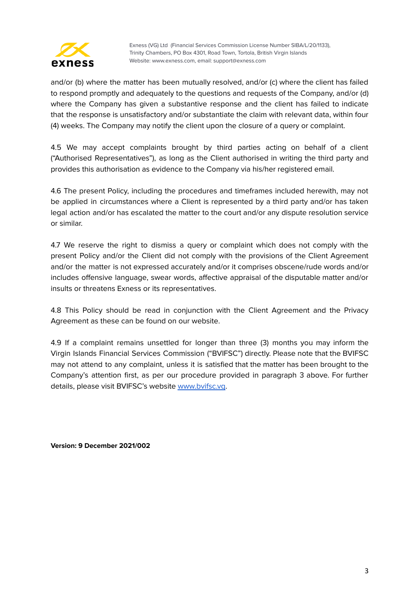

and/or (b) where the matter has been mutually resolved, and/or (c) where the client has failed to respond promptly and adequately to the questions and requests of the Company, and/or (d) where the Company has given a substantive response and the client has failed to indicate that the response is unsatisfactory and/or substantiate the claim with relevant data, within four (4) weeks. The Company may notify the client upon the closure of a query or complaint.

4.5 We may accept complaints brought by third parties acting on behalf of a client ("Authorised Representatives"), as long as the Client authorised in writing the third party and provides this authorisation as evidence to the Company via his/her registered email.

4.6 The present Policy, including the procedures and timeframes included herewith, may not be applied in circumstances where a Client is represented by a third party and/or has taken legal action and/or has escalated the matter to the court and/or any dispute resolution service or similar.

4.7 We reserve the right to dismiss a query or complaint which does not comply with the present Policy and/or the Client did not comply with the provisions of the Client Agreement and/or the matter is not expressed accurately and/or it comprises obscene/rude words and/or includes offensive language, swear words, affective appraisal of the disputable matter and/or insults or threatens Exness or its representatives.

4.8 This Policy should be read in conjunction with the Client Agreement and the Privacy Agreement as these can be found on our website.

4.9 If a complaint remains unsettled for longer than three (3) months you may inform the Virgin Islands Financial Services Commission ("BVIFSC") directly. Please note that the BVIFSC may not attend to any complaint, unless it is satisfied that the matter has been brought to the Company's attention first, as per our procedure provided in paragraph 3 above. For further details, please visit BVIFSC's website [www.bvifsc.vg](http://www.bvifsc.vg/).

**Version: 9 December 2021/002**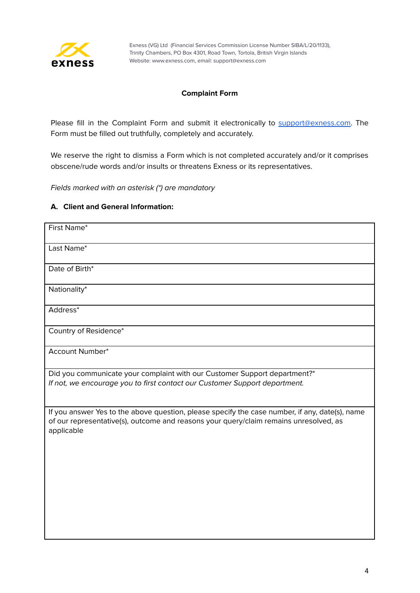

## **Complaint Form**

Please fill in the Complaint Form and submit it electronically to [support@exness.com.](mailto:support@exness.com) The Form must be filled out truthfully, completely and accurately.

We reserve the right to dismiss a Form which is not completed accurately and/or it comprises obscene/rude words and/or insults or threatens Exness or its representatives.

Fields marked with an asterisk (\*) are mandatory

## **A. Client and General Information:**

| First Name*                                                                                                                                                                                           |
|-------------------------------------------------------------------------------------------------------------------------------------------------------------------------------------------------------|
| Last Name*                                                                                                                                                                                            |
| Date of Birth*                                                                                                                                                                                        |
| Nationality*                                                                                                                                                                                          |
| Address*                                                                                                                                                                                              |
| Country of Residence*                                                                                                                                                                                 |
| <b>Account Number*</b>                                                                                                                                                                                |
| Did you communicate your complaint with our Customer Support department?*<br>If not, we encourage you to first contact our Customer Support department.                                               |
| If you answer Yes to the above question, please specify the case number, if any, date(s), name<br>of our representative(s), outcome and reasons your query/claim remains unresolved, as<br>applicable |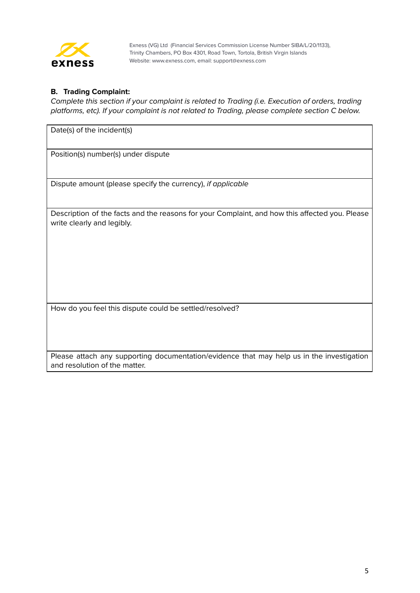

## **B. Trading Complaint:**

Complete this section if your complaint is related to Trading (i.e. Execution of orders, trading platforms, etc). If your complaint is not related to Trading, please complete section C below.

Date(s) of the incident(s)

Position(s) number(s) under dispute

Dispute amount (please specify the currency), if applicable

Description of the facts and the reasons for your Complaint, and how this affected you. Please write clearly and legibly.

How do you feel this dispute could be settled/resolved?

Please attach any supporting documentation/evidence that may help us in the investigation and resolution of the matter.